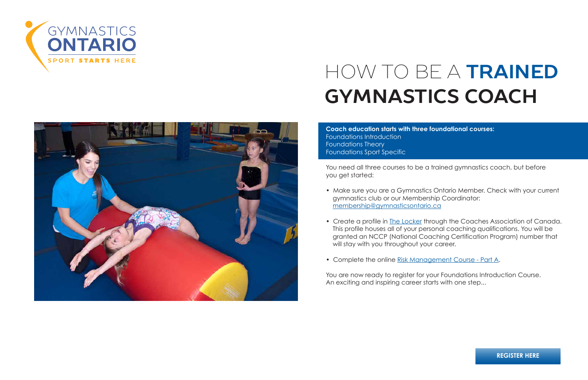**Coach education starts with three foundational courses:** Foundations Introduction Foundations Theory Foundations Sport Specific

You need all three courses to be a trained gymnastics coach, but before you get started:

• Make sure you are a Gymnastics Ontario Member. Check with your current

• Create a profile in The Locker through the Coaches Association of Canada. This profile houses all of your personal coaching qualifications. You will be granted an NCCP (National Coaching Certification Program) number that

- gymnastics club or our Membership Coordinator: membership@gymnasticsontario.ca
- will stay with you throughout your career.
- Complete the online Risk Management Course Part A.

You are now ready to register for your Foundations Introduction Course. An exciting and inspiring career starts with one step...





# HOW TO BE A **TRAINED GYMNASTICS COACH**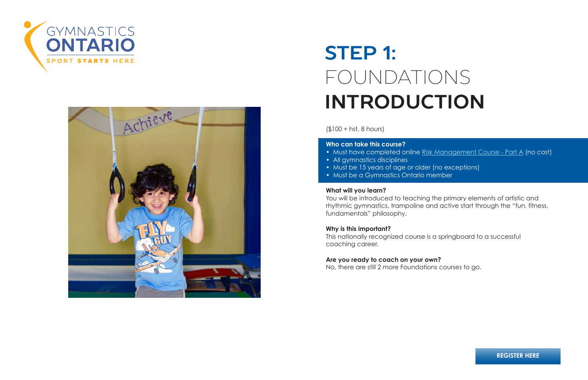(\$100 + hst, 8 hours)

### **Who can take this course?**

- 
- All gymnastics disciplines
- Must be 15 years of age or older (no exceptions)
- Must be a Gymnastics Ontario member

#### **What will you learn?**

You will be introduced to teaching the primary elements of artistic and rhythmic gymnastics, trampoline and active start through the "fun, fitness, fundamentals" philosophy.

#### **Why is this important?**

This nationally recognized course is a springboard to a successful coaching career.

# **Are you ready to coach on your own?**

No, there are still 2 more Foundations courses to go.

• Must have completed online Risk Management Course - Part A (no cost)





# **STEP 1:** FOUNDATIONS **INTRODUCTION**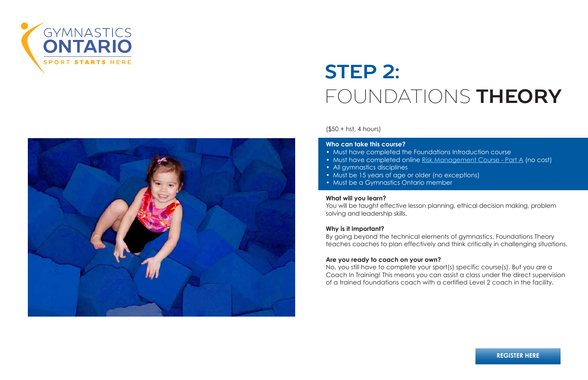(\$50 + hst, 4 hours)

#### **Who can take this course?**

- Must have completed the Foundations Introduction course
- 
- All gymnastics disciplines
- Must be 15 years of age or older (no exceptions)
- Must be a Gymnastics Ontario member

#### **What will you learn?**

You will be taught effective lesson planning, ethical decision making, problem solving and leadership skills.

#### **Why is it important?**

By going beyond the technical elements of gymnastics, Foundations Theory teaches coaches to plan effectively and think critically in challenging situations.

#### **Are you ready to coach on your own?**

No, you still have to complete your sport(s) specific course(s). But you are a Coach In Training! This means you can assist a class under the direct supervision of a trained foundations coach with a certified Level 2 coach in the facility.



• Must have completed online Risk Management Course - Part A (no cost)



# **STEP 2:** FOUNDATIONS **THEORY**